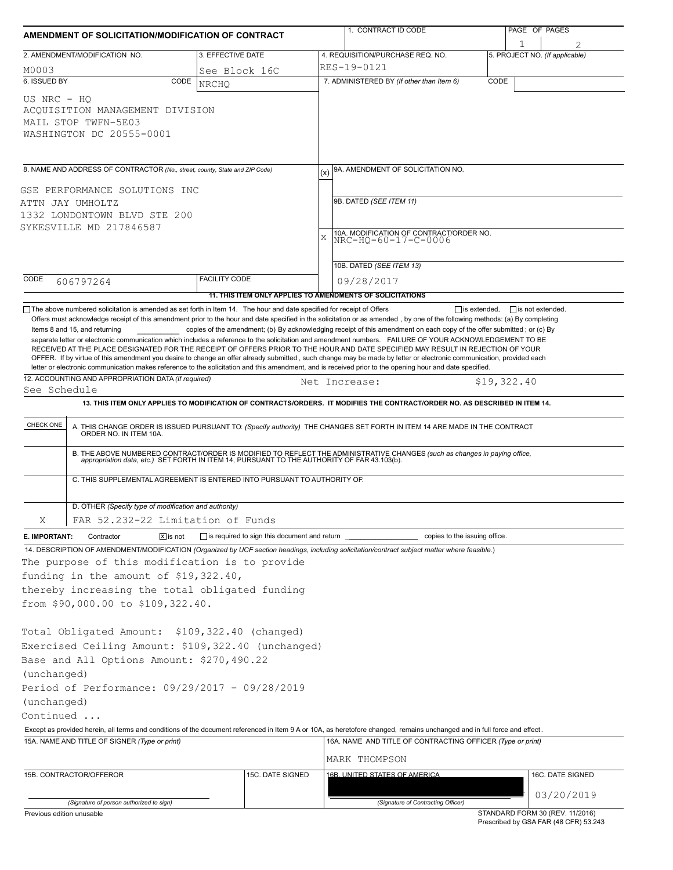| AMENDMENT OF SOLICITATION/MODIFICATION OF CONTRACT |                                                                                                                                                                                |                                                           |             | 1. CONTRACT ID CODE                                                                                                                                                                                                                                                                                                                                                                                                                                                                                                                                                                                                                                                                                                                                                                                                                                                                                                                     |             | PAGE OF PAGES |                                 |
|----------------------------------------------------|--------------------------------------------------------------------------------------------------------------------------------------------------------------------------------|-----------------------------------------------------------|-------------|-----------------------------------------------------------------------------------------------------------------------------------------------------------------------------------------------------------------------------------------------------------------------------------------------------------------------------------------------------------------------------------------------------------------------------------------------------------------------------------------------------------------------------------------------------------------------------------------------------------------------------------------------------------------------------------------------------------------------------------------------------------------------------------------------------------------------------------------------------------------------------------------------------------------------------------------|-------------|---------------|---------------------------------|
|                                                    | 2. AMENDMENT/MODIFICATION NO.                                                                                                                                                  | 3. EFFECTIVE DATE                                         |             | 4. REQUISITION/PURCHASE REQ. NO.                                                                                                                                                                                                                                                                                                                                                                                                                                                                                                                                                                                                                                                                                                                                                                                                                                                                                                        |             |               | 5. PROJECT NO. (If applicable)  |
| M0003                                              |                                                                                                                                                                                | See Block 16C                                             |             | RES-19-0121                                                                                                                                                                                                                                                                                                                                                                                                                                                                                                                                                                                                                                                                                                                                                                                                                                                                                                                             |             |               |                                 |
| 6. ISSUED BY                                       | CODE                                                                                                                                                                           | <b>NRCHO</b>                                              |             | 7. ADMINISTERED BY (If other than Item 6)                                                                                                                                                                                                                                                                                                                                                                                                                                                                                                                                                                                                                                                                                                                                                                                                                                                                                               | CODE        |               |                                 |
| US NRC - HO                                        | ACQUISITION MANAGEMENT DIVISION<br>MAIL STOP TWFN-5E03<br>WASHINGTON DC 20555-0001                                                                                             |                                                           |             |                                                                                                                                                                                                                                                                                                                                                                                                                                                                                                                                                                                                                                                                                                                                                                                                                                                                                                                                         |             |               |                                 |
|                                                    | 8. NAME AND ADDRESS OF CONTRACTOR (No., street, county, State and ZIP Code)                                                                                                    |                                                           |             | 9A. AMENDMENT OF SOLICITATION NO.                                                                                                                                                                                                                                                                                                                                                                                                                                                                                                                                                                                                                                                                                                                                                                                                                                                                                                       |             |               |                                 |
| GSE PERFORMANCE SOLUTIONS INC<br>ATTN JAY UMHOLTZ  |                                                                                                                                                                                |                                                           |             | 9B. DATED (SEE ITEM 11)                                                                                                                                                                                                                                                                                                                                                                                                                                                                                                                                                                                                                                                                                                                                                                                                                                                                                                                 |             |               |                                 |
|                                                    | 1332 LONDONTOWN BLVD STE 200                                                                                                                                                   |                                                           |             |                                                                                                                                                                                                                                                                                                                                                                                                                                                                                                                                                                                                                                                                                                                                                                                                                                                                                                                                         |             |               |                                 |
|                                                    | SYKESVILLE MD 217846587                                                                                                                                                        |                                                           |             | 10A. MODIFICATION OF CONTRACT/ORDER NO.                                                                                                                                                                                                                                                                                                                                                                                                                                                                                                                                                                                                                                                                                                                                                                                                                                                                                                 |             |               |                                 |
|                                                    |                                                                                                                                                                                |                                                           | $\mathbf x$ | NRC-HQ-60-17-C-0006                                                                                                                                                                                                                                                                                                                                                                                                                                                                                                                                                                                                                                                                                                                                                                                                                                                                                                                     |             |               |                                 |
|                                                    |                                                                                                                                                                                |                                                           |             | 10B. DATED (SEE ITEM 13)                                                                                                                                                                                                                                                                                                                                                                                                                                                                                                                                                                                                                                                                                                                                                                                                                                                                                                                |             |               |                                 |
| CODE                                               | 606797264                                                                                                                                                                      | <b>FACILITY CODE</b>                                      |             | 09/28/2017                                                                                                                                                                                                                                                                                                                                                                                                                                                                                                                                                                                                                                                                                                                                                                                                                                                                                                                              |             |               |                                 |
|                                                    |                                                                                                                                                                                | 11. THIS ITEM ONLY APPLIES TO AMENDMENTS OF SOLICITATIONS |             |                                                                                                                                                                                                                                                                                                                                                                                                                                                                                                                                                                                                                                                                                                                                                                                                                                                                                                                                         |             |               |                                 |
|                                                    | Items 8 and 15, and returning                                                                                                                                                  |                                                           |             | Offers must acknowledge receipt of this amendment prior to the hour and date specified in the solicitation or as amended, by one of the following methods: (a) By completing<br>copies of the amendment; (b) By acknowledging receipt of this amendment on each copy of the offer submitted; or (c) By<br>separate letter or electronic communication which includes a reference to the solicitation and amendment numbers. FAILURE OF YOUR ACKNOWLEDGEMENT TO BE<br>RECEIVED AT THE PLACE DESIGNATED FOR THE RECEIPT OF OFFERS PRIOR TO THE HOUR AND DATE SPECIFIED MAY RESULT IN REJECTION OF YOUR<br>OFFER. If by virtue of this amendment you desire to change an offer already submitted, such change may be made by letter or electronic communication, provided each<br>letter or electronic communication makes reference to the solicitation and this amendment, and is received prior to the opening hour and date specified. |             |               |                                 |
|                                                    | 12. ACCOUNTING AND APPROPRIATION DATA (If required)                                                                                                                            |                                                           |             | Net Increase:                                                                                                                                                                                                                                                                                                                                                                                                                                                                                                                                                                                                                                                                                                                                                                                                                                                                                                                           | \$19,322.40 |               |                                 |
| See Schedule                                       |                                                                                                                                                                                |                                                           |             | 13. THIS ITEM ONLY APPLIES TO MODIFICATION OF CONTRACTS/ORDERS. IT MODIFIES THE CONTRACT/ORDER NO. AS DESCRIBED IN ITEM 14.                                                                                                                                                                                                                                                                                                                                                                                                                                                                                                                                                                                                                                                                                                                                                                                                             |             |               |                                 |
| CHECK ONE                                          | C. THIS SUPPLEMENTAL AGREEMENT IS ENTERED INTO PURSUANT TO AUTHORITY OF:                                                                                                       |                                                           |             | A. THIS CHANGE ORDER IS ISSUED PURSUANT TO: (Specify authority) THE CHANGES SET FORTH IN ITEM 14 ARE MADE IN THE CONTRACT ORDER NO. IN ITEM 10A.<br>B. THE ABOVE NUMBERED CONTRACT/ORDER IS MODIFIED TO REFLECT THE ADMINISTRATIVE CHANGES (such as changes in paying office,<br>appropriation data, etc.) SET FORTH IN ITEM 14, PURSUANT TO THE AUTHORITY OF FAR 43.103(b).                                                                                                                                                                                                                                                                                                                                                                                                                                                                                                                                                            |             |               |                                 |
|                                                    | D. OTHER (Specify type of modification and authority)                                                                                                                          |                                                           |             |                                                                                                                                                                                                                                                                                                                                                                                                                                                                                                                                                                                                                                                                                                                                                                                                                                                                                                                                         |             |               |                                 |
| Χ                                                  | FAR 52.232-22 Limitation of Funds                                                                                                                                              |                                                           |             |                                                                                                                                                                                                                                                                                                                                                                                                                                                                                                                                                                                                                                                                                                                                                                                                                                                                                                                                         |             |               |                                 |
| E. IMPORTANT:                                      | $ \overline{x} $ is not<br>Contractor                                                                                                                                          | $\Box$ is required to sign this document and return       |             | copies to the issuing office.                                                                                                                                                                                                                                                                                                                                                                                                                                                                                                                                                                                                                                                                                                                                                                                                                                                                                                           |             |               |                                 |
|                                                    | The purpose of this modification is to provide<br>funding in the amount of \$19,322.40,<br>thereby increasing the total obligated funding<br>from \$90,000.00 to \$109,322.40. |                                                           |             | 14. DESCRIPTION OF AMENDMENT/MODIFICATION (Organized by UCF section headings, including solicitation/contract subject matter where feasible.)                                                                                                                                                                                                                                                                                                                                                                                                                                                                                                                                                                                                                                                                                                                                                                                           |             |               |                                 |
|                                                    | Total Obligated Amount: \$109,322.40 (changed)<br>Exercised Ceiling Amount: \$109,322.40 (unchanged)<br>Base and All Options Amount: \$270,490.22                              |                                                           |             |                                                                                                                                                                                                                                                                                                                                                                                                                                                                                                                                                                                                                                                                                                                                                                                                                                                                                                                                         |             |               |                                 |
| (unchanged)                                        | Period of Performance: 09/29/2017 - 09/28/2019                                                                                                                                 |                                                           |             |                                                                                                                                                                                                                                                                                                                                                                                                                                                                                                                                                                                                                                                                                                                                                                                                                                                                                                                                         |             |               |                                 |
| (unchanged)                                        |                                                                                                                                                                                |                                                           |             |                                                                                                                                                                                                                                                                                                                                                                                                                                                                                                                                                                                                                                                                                                                                                                                                                                                                                                                                         |             |               |                                 |
| Continued                                          |                                                                                                                                                                                |                                                           |             |                                                                                                                                                                                                                                                                                                                                                                                                                                                                                                                                                                                                                                                                                                                                                                                                                                                                                                                                         |             |               |                                 |
|                                                    |                                                                                                                                                                                |                                                           |             | Except as provided herein, all terms and conditions of the document referenced in Item 9 A or 10A, as heretofore changed, remains unchanged and in full force and effect.                                                                                                                                                                                                                                                                                                                                                                                                                                                                                                                                                                                                                                                                                                                                                               |             |               |                                 |
|                                                    | 15A. NAME AND TITLE OF SIGNER (Type or print)                                                                                                                                  |                                                           |             | 16A. NAME AND TITLE OF CONTRACTING OFFICER (Type or print)                                                                                                                                                                                                                                                                                                                                                                                                                                                                                                                                                                                                                                                                                                                                                                                                                                                                              |             |               |                                 |
|                                                    |                                                                                                                                                                                |                                                           |             | MARK THOMPSON                                                                                                                                                                                                                                                                                                                                                                                                                                                                                                                                                                                                                                                                                                                                                                                                                                                                                                                           |             |               |                                 |
|                                                    | 15B. CONTRACTOR/OFFEROR                                                                                                                                                        | 15C. DATE SIGNED                                          |             | 16B. UNITED STATES OF AMERICA                                                                                                                                                                                                                                                                                                                                                                                                                                                                                                                                                                                                                                                                                                                                                                                                                                                                                                           |             |               | 16C. DATE SIGNED                |
|                                                    |                                                                                                                                                                                |                                                           |             |                                                                                                                                                                                                                                                                                                                                                                                                                                                                                                                                                                                                                                                                                                                                                                                                                                                                                                                                         |             |               | 03/20/2019                      |
| Previous edition unusable                          | (Signature of person authorized to sign)                                                                                                                                       |                                                           |             | (Signature of Contracting Officer)                                                                                                                                                                                                                                                                                                                                                                                                                                                                                                                                                                                                                                                                                                                                                                                                                                                                                                      |             |               | STANDARD FORM 30 (REV. 11/2016) |

Prescribed by GSA FAR (48 CFR) 53.243